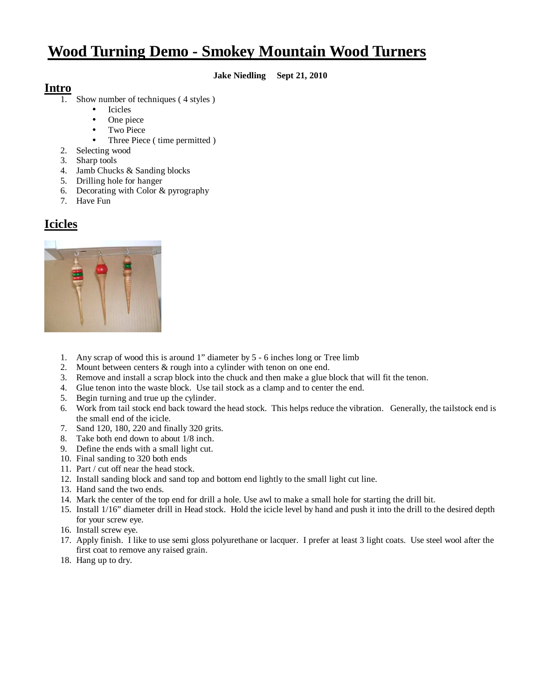# **Wood Turning Demo - Smokey Mountain Wood Turners**

#### **Jake Niedling Sept 21, 2010**

#### **Intro**

- Show number of techniques (4 styles)
	- Icicles
		- One piece
		- Two Piece
		- Three Piece ( time permitted )
- 2. Selecting wood
- 3. Sharp tools
- 4. Jamb Chucks & Sanding blocks
- 5. Drilling hole for hanger
- 6. Decorating with Color & pyrography
- 7. Have Fun

## **Icicles**



- 1. Any scrap of wood this is around 1" diameter by 5 6 inches long or Tree limb
- 2. Mount between centers & rough into a cylinder with tenon on one end.
- 3. Remove and install a scrap block into the chuck and then make a glue block that will fit the tenon.
- 4. Glue tenon into the waste block. Use tail stock as a clamp and to center the end.
- 5. Begin turning and true up the cylinder.
- 6. Work from tail stock end back toward the head stock. This helps reduce the vibration. Generally, the tailstock end is the small end of the icicle.
- 7. Sand 120, 180, 220 and finally 320 grits.
- 8. Take both end down to about 1/8 inch.
- 9. Define the ends with a small light cut.
- 10. Final sanding to 320 both ends
- 11. Part / cut off near the head stock.
- 12. Install sanding block and sand top and bottom end lightly to the small light cut line.
- 13. Hand sand the two ends.
- 14. Mark the center of the top end for drill a hole. Use awl to make a small hole for starting the drill bit.
- 15. Install 1/16" diameter drill in Head stock. Hold the icicle level by hand and push it into the drill to the desired depth for your screw eye.
- 16. Install screw eye.
- 17. Apply finish. I like to use semi gloss polyurethane or lacquer. I prefer at least 3 light coats. Use steel wool after the first coat to remove any raised grain.
- 18. Hang up to dry.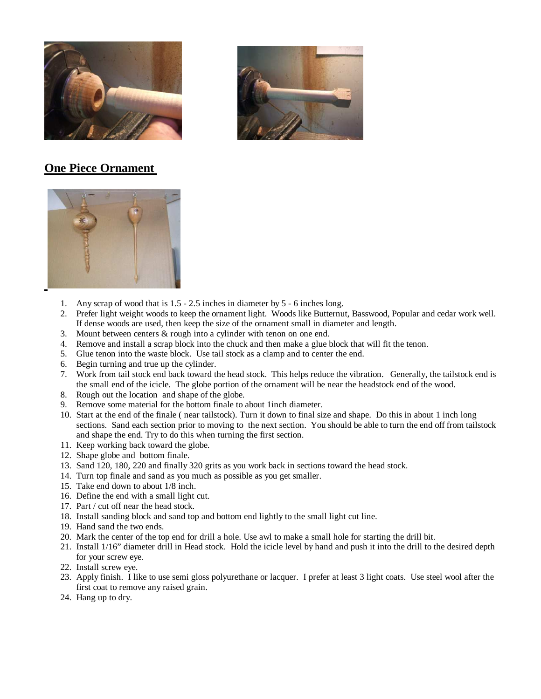



### **One Piece Ornament**



- 1. Any scrap of wood that is 1.5 2.5 inches in diameter by 5 6 inches long.
- 2. Prefer light weight woods to keep the ornament light. Woods like Butternut, Basswood, Popular and cedar work well. If dense woods are used, then keep the size of the ornament small in diameter and length.
- 3. Mount between centers & rough into a cylinder with tenon on one end.
- 4. Remove and install a scrap block into the chuck and then make a glue block that will fit the tenon.
- 5. Glue tenon into the waste block. Use tail stock as a clamp and to center the end.
- 6. Begin turning and true up the cylinder.
- 7. Work from tail stock end back toward the head stock. This helps reduce the vibration. Generally, the tailstock end is the small end of the icicle. The globe portion of the ornament will be near the headstock end of the wood.
- 8. Rough out the location and shape of the globe.
- 9. Remove some material for the bottom finale to about 1inch diameter.
- 10. Start at the end of the finale ( near tailstock). Turn it down to final size and shape. Do this in about 1 inch long sections. Sand each section prior to moving to the next section. You should be able to turn the end off from tailstock and shape the end. Try to do this when turning the first section.
- 11. Keep working back toward the globe.
- 12. Shape globe and bottom finale.
- 13. Sand 120, 180, 220 and finally 320 grits as you work back in sections toward the head stock.
- 14. Turn top finale and sand as you much as possible as you get smaller.
- 15. Take end down to about 1/8 inch.
- 16. Define the end with a small light cut.
- 17. Part / cut off near the head stock.
- 18. Install sanding block and sand top and bottom end lightly to the small light cut line.
- 19. Hand sand the two ends.
- 20. Mark the center of the top end for drill a hole. Use awl to make a small hole for starting the drill bit.
- 21. Install 1/16" diameter drill in Head stock. Hold the icicle level by hand and push it into the drill to the desired depth for your screw eye.
- 22. Install screw eye.
- 23. Apply finish. I like to use semi gloss polyurethane or lacquer. I prefer at least 3 light coats. Use steel wool after the first coat to remove any raised grain.
- 24. Hang up to dry.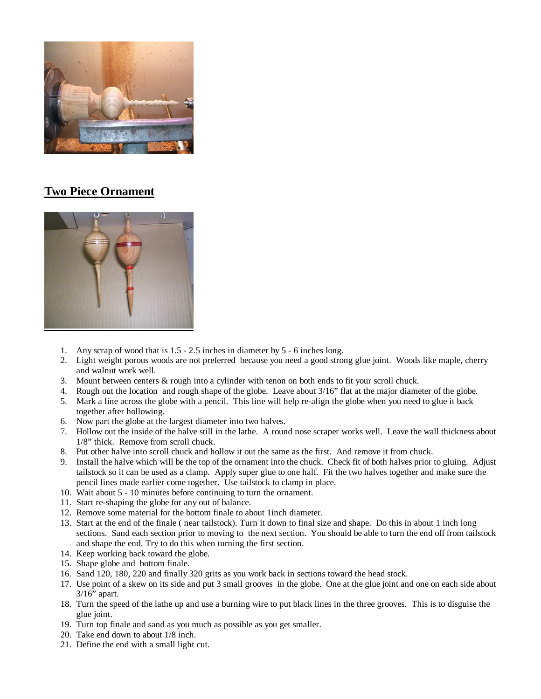

## **Two Piece Ornament**



- 1. Any scrap of wood that is 1.5 2.5 inches in diameter by 5 6 inches long.
- 2. Light weight porous woods are not preferred because you need a good strong glue joint. Woods like maple, cherry and walnut work well.
- 3. Mount between centers & rough into a cylinder with tenon on both ends to fit your scroll chuck.
- 4. Rough out the location and rough shape of the globe. Leave about 3/16" flat at the major diameter of the globe.
- 5. Mark a line across the globe with a pencil. This line will help re-align the globe when you need to glue it back together after hollowing.
- 6. Now part the globe at the largest diameter into two halves.
- 7. Hollow out the inside of the halve still in the lathe. A round nose scraper works well. Leave the wall thickness about 1/8" thick. Remove from scroll chuck.
- 8. Put other halve into scroll chuck and hollow it out the same as the first. And remove it from chuck.
- 9. Install the halve which will be the top of the ornament into the chuck. Check fit of both halves prior to gluing. Adjust tailstock so it can be used as a clamp. Apply super glue to one half. Fit the two halves together and make sure the pencil lines made earlier come together. Use tailstock to clamp in place.
- 10. Wait about 5 10 minutes before continuing to turn the ornament.
- 11. Start re-shaping the globe for any out of balance.
- 12. Remove some material for the bottom finale to about 1inch diameter.
- 13. Start at the end of the finale ( near tailstock). Turn it down to final size and shape. Do this in about 1 inch long sections. Sand each section prior to moving to the next section. You should be able to turn the end off from tailstock and shape the end. Try to do this when turning the first section.
- 14. Keep working back toward the globe.
- 15. Shape globe and bottom finale.
- 16. Sand 120, 180, 220 and finally 320 grits as you work back in sections toward the head stock.
- 17. Use point of a skew on its side and put 3 small grooves in the globe. One at the glue joint and one on each side about 3/16" apart.
- 18. Turn the speed of the lathe up and use a burning wire to put black lines in the three grooves. This is to disguise the glue joint.
- 19. Turn top finale and sand as you much as possible as you get smaller.
- 20. Take end down to about 1/8 inch.
- 21. Define the end with a small light cut.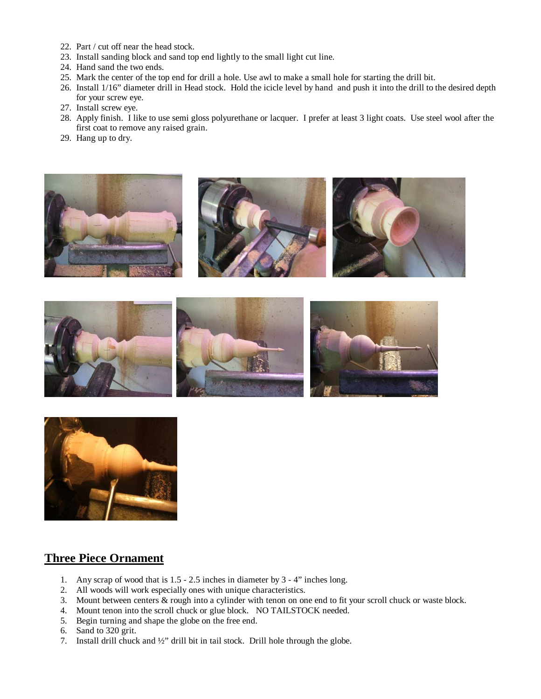- 22. Part / cut off near the head stock.
- 23. Install sanding block and sand top end lightly to the small light cut line.
- 24. Hand sand the two ends.
- 25. Mark the center of the top end for drill a hole. Use awl to make a small hole for starting the drill bit.
- 26. Install 1/16" diameter drill in Head stock. Hold the icicle level by hand and push it into the drill to the desired depth for your screw eye.
- 27. Install screw eye.
- 28. Apply finish. I like to use semi gloss polyurethane or lacquer. I prefer at least 3 light coats. Use steel wool after the first coat to remove any raised grain.
- 29. Hang up to dry.







#### **Three Piece Ornament**

- 1. Any scrap of wood that is 1.5 2.5 inches in diameter by 3 4" inches long.
- 2. All woods will work especially ones with unique characteristics.
- 3. Mount between centers & rough into a cylinder with tenon on one end to fit your scroll chuck or waste block.
- 4. Mount tenon into the scroll chuck or glue block. NO TAILSTOCK needed.
- 5. Begin turning and shape the globe on the free end.
- 6. Sand to 320 grit.
- 7. Install drill chuck and ½" drill bit in tail stock. Drill hole through the globe.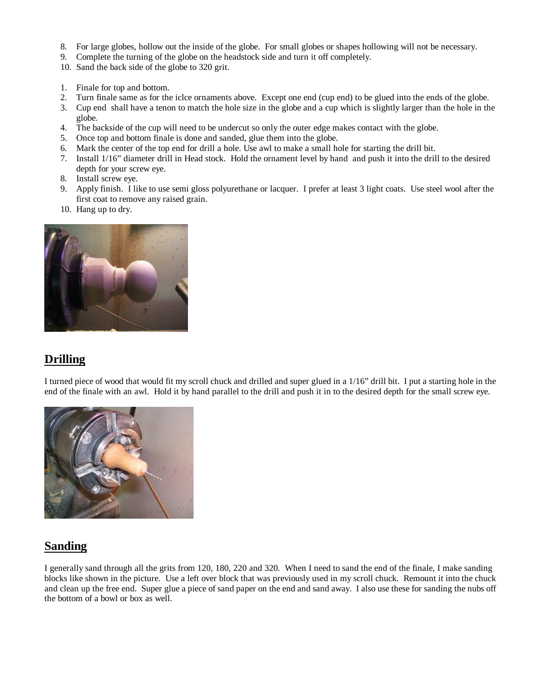- 8. For large globes, hollow out the inside of the globe. For small globes or shapes hollowing will not be necessary.
- 9. Complete the turning of the globe on the headstock side and turn it off completely.
- 10. Sand the back side of the globe to 320 grit.
- 1. Finale for top and bottom.
- 2. Turn finale same as for the iclce ornaments above. Except one end (cup end) to be glued into the ends of the globe.
- 3. Cup end shall have a tenon to match the hole size in the globe and a cup which is slightly larger than the hole in the globe.
- 4. The backside of the cup will need to be undercut so only the outer edge makes contact with the globe.
- 5. Once top and bottom finale is done and sanded, glue them into the globe.
- 6. Mark the center of the top end for drill a hole. Use awl to make a small hole for starting the drill bit.
- 7. Install 1/16" diameter drill in Head stock. Hold the ornament level by hand and push it into the drill to the desired depth for your screw eye.
- 8. Install screw eye.
- 9. Apply finish. I like to use semi gloss polyurethane or lacquer. I prefer at least 3 light coats. Use steel wool after the first coat to remove any raised grain.
- 10. Hang up to dry.



## **Drilling**

I turned piece of wood that would fit my scroll chuck and drilled and super glued in a 1/16" drill bit. I put a starting hole in the end of the finale with an awl. Hold it by hand parallel to the drill and push it in to the desired depth for the small screw eye.



## **Sanding**

I generally sand through all the grits from 120, 180, 220 and 320. When I need to sand the end of the finale, I make sanding blocks like shown in the picture. Use a left over block that was previously used in my scroll chuck. Remount it into the chuck and clean up the free end. Super glue a piece of sand paper on the end and sand away. I also use these for sanding the nubs off the bottom of a bowl or box as well.